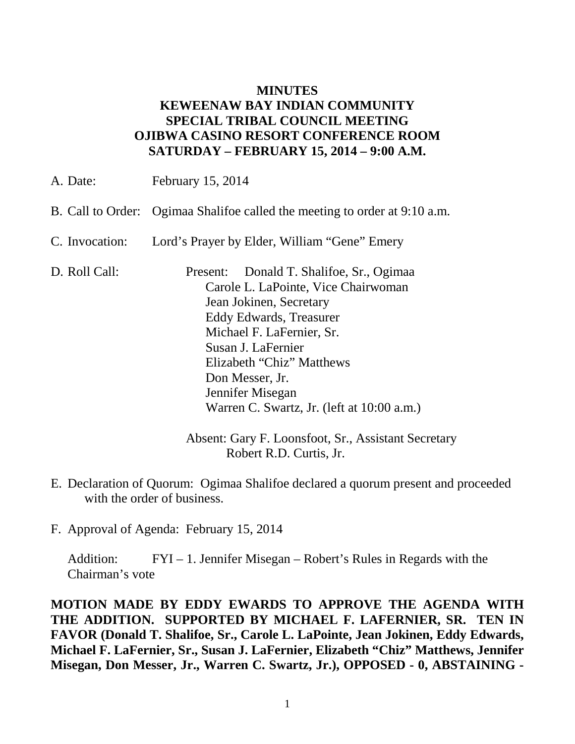## **MINUTES KEWEENAW BAY INDIAN COMMUNITY SPECIAL TRIBAL COUNCIL MEETING OJIBWA CASINO RESORT CONFERENCE ROOM SATURDAY – FEBRUARY 15, 2014 – 9:00 A.M.**

| A. Date:          | February 15, 2014                                                                                                                                                                                                                                                                                          |
|-------------------|------------------------------------------------------------------------------------------------------------------------------------------------------------------------------------------------------------------------------------------------------------------------------------------------------------|
| B. Call to Order: | Ogimaa Shalifoe called the meeting to order at 9:10 a.m.                                                                                                                                                                                                                                                   |
| C. Invocation:    | Lord's Prayer by Elder, William "Gene" Emery                                                                                                                                                                                                                                                               |
| D. Roll Call:     | Present: Donald T. Shalifoe, Sr., Ogimaa<br>Carole L. LaPointe, Vice Chairwoman<br>Jean Jokinen, Secretary<br>Eddy Edwards, Treasurer<br>Michael F. LaFernier, Sr.<br>Susan J. LaFernier<br>Elizabeth "Chiz" Matthews<br>Don Messer, Jr.<br>Jennifer Misegan<br>Warren C. Swartz, Jr. (left at 10:00 a.m.) |

Absent: Gary F. Loonsfoot, Sr., Assistant Secretary Robert R.D. Curtis, Jr.

- E. Declaration of Quorum: Ogimaa Shalifoe declared a quorum present and proceeded with the order of business.
- F. Approval of Agenda: February 15, 2014

Addition: FYI – 1. Jennifer Misegan – Robert's Rules in Regards with the Chairman's vote

**MOTION MADE BY EDDY EWARDS TO APPROVE THE AGENDA WITH THE ADDITION. SUPPORTED BY MICHAEL F. LAFERNIER, SR. TEN IN FAVOR (Donald T. Shalifoe, Sr., Carole L. LaPointe, Jean Jokinen, Eddy Edwards, Michael F. LaFernier, Sr., Susan J. LaFernier, Elizabeth "Chiz" Matthews, Jennifer Misegan, Don Messer, Jr., Warren C. Swartz, Jr.), OPPOSED - 0, ABSTAINING -**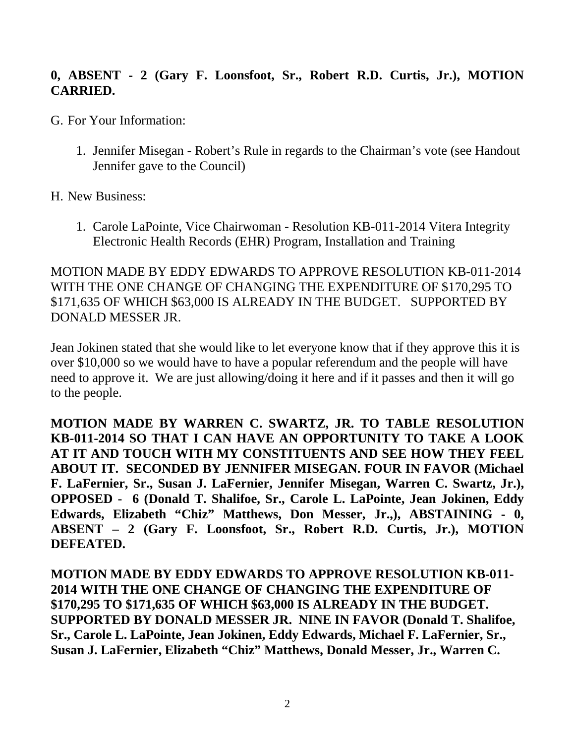## **0, ABSENT - 2 (Gary F. Loonsfoot, Sr., Robert R.D. Curtis, Jr.), MOTION CARRIED.**

- G. For Your Information:
	- 1. Jennifer Misegan Robert's Rule in regards to the Chairman's vote (see Handout Jennifer gave to the Council)

H. New Business:

1. Carole LaPointe, Vice Chairwoman - Resolution KB-011-2014 Vitera Integrity Electronic Health Records (EHR) Program, Installation and Training

MOTION MADE BY EDDY EDWARDS TO APPROVE RESOLUTION KB-011-2014 WITH THE ONE CHANGE OF CHANGING THE EXPENDITURE OF \$170,295 TO \$171,635 OF WHICH \$63,000 IS ALREADY IN THE BUDGET. SUPPORTED BY DONALD MESSER JR.

Jean Jokinen stated that she would like to let everyone know that if they approve this it is over \$10,000 so we would have to have a popular referendum and the people will have need to approve it. We are just allowing/doing it here and if it passes and then it will go to the people.

**MOTION MADE BY WARREN C. SWARTZ, JR. TO TABLE RESOLUTION KB-011-2014 SO THAT I CAN HAVE AN OPPORTUNITY TO TAKE A LOOK AT IT AND TOUCH WITH MY CONSTITUENTS AND SEE HOW THEY FEEL ABOUT IT. SECONDED BY JENNIFER MISEGAN. FOUR IN FAVOR (Michael F. LaFernier, Sr., Susan J. LaFernier, Jennifer Misegan, Warren C. Swartz, Jr.), OPPOSED - 6 (Donald T. Shalifoe, Sr., Carole L. LaPointe, Jean Jokinen, Eddy Edwards, Elizabeth "Chiz" Matthews, Don Messer, Jr.,), ABSTAINING - 0, ABSENT – 2 (Gary F. Loonsfoot, Sr., Robert R.D. Curtis, Jr.), MOTION DEFEATED.**

**MOTION MADE BY EDDY EDWARDS TO APPROVE RESOLUTION KB-011- 2014 WITH THE ONE CHANGE OF CHANGING THE EXPENDITURE OF \$170,295 TO \$171,635 OF WHICH \$63,000 IS ALREADY IN THE BUDGET. SUPPORTED BY DONALD MESSER JR. NINE IN FAVOR (Donald T. Shalifoe, Sr., Carole L. LaPointe, Jean Jokinen, Eddy Edwards, Michael F. LaFernier, Sr., Susan J. LaFernier, Elizabeth "Chiz" Matthews, Donald Messer, Jr., Warren C.**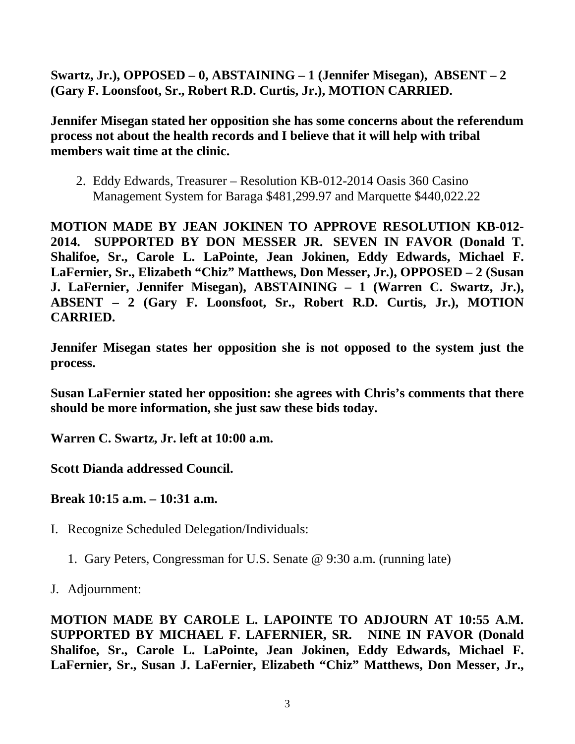**Swartz, Jr.), OPPOSED – 0, ABSTAINING – 1 (Jennifer Misegan), ABSENT – 2 (Gary F. Loonsfoot, Sr., Robert R.D. Curtis, Jr.), MOTION CARRIED.**

**Jennifer Misegan stated her opposition she has some concerns about the referendum process not about the health records and I believe that it will help with tribal members wait time at the clinic.**

2. Eddy Edwards, Treasurer – Resolution KB-012-2014 Oasis 360 Casino Management System for Baraga \$481,299.97 and Marquette \$440,022.22

**MOTION MADE BY JEAN JOKINEN TO APPROVE RESOLUTION KB-012- 2014. SUPPORTED BY DON MESSER JR. SEVEN IN FAVOR (Donald T. Shalifoe, Sr., Carole L. LaPointe, Jean Jokinen, Eddy Edwards, Michael F. LaFernier, Sr., Elizabeth "Chiz" Matthews, Don Messer, Jr.), OPPOSED – 2 (Susan J. LaFernier, Jennifer Misegan), ABSTAINING – 1 (Warren C. Swartz, Jr.), ABSENT – 2 (Gary F. Loonsfoot, Sr., Robert R.D. Curtis, Jr.), MOTION CARRIED.**

**Jennifer Misegan states her opposition she is not opposed to the system just the process.**

**Susan LaFernier stated her opposition: she agrees with Chris's comments that there should be more information, she just saw these bids today.**

**Warren C. Swartz, Jr. left at 10:00 a.m.**

**Scott Dianda addressed Council.**

**Break 10:15 a.m. – 10:31 a.m.**

- I. Recognize Scheduled Delegation/Individuals:
	- 1. Gary Peters, Congressman for U.S. Senate @ 9:30 a.m. (running late)

J. Adjournment:

**MOTION MADE BY CAROLE L. LAPOINTE TO ADJOURN AT 10:55 A.M. SUPPORTED BY MICHAEL F. LAFERNIER, SR. NINE IN FAVOR (Donald Shalifoe, Sr., Carole L. LaPointe, Jean Jokinen, Eddy Edwards, Michael F. LaFernier, Sr., Susan J. LaFernier, Elizabeth "Chiz" Matthews, Don Messer, Jr.,**